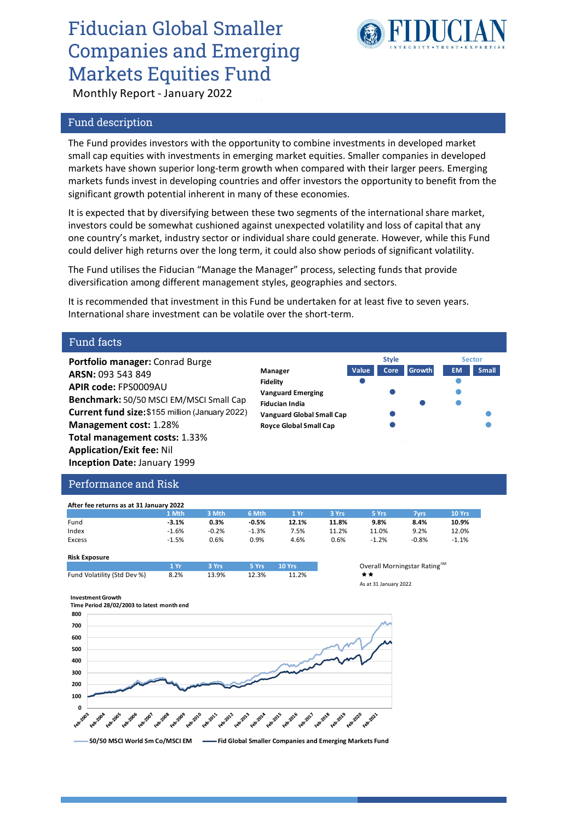## Fiducian Global Smaller Companies and Emerging Markets Equities Fund



Monthly Report - January 2022

### Fund description

The Fund provides investors with the opportunity to combine investments in developed market small cap equities with investments in emerging market equities. Smaller companies in developed markets have shown superior long-term growth when compared with their larger peers. Emerging markets funds invest in developing countries and offer investors the opportunity to benefit from the significant growth potential inherent in many of these economies.

It is expected that by diversifying between these two segments of the international share market, investors could be somewhat cushioned against unexpected volatility and loss of capital that any one country's market, industry sector or individual share could generate. However, while this Fund could deliver high returns over the long term, it could also show periods of significant volatility.

The Fund utilises the Fiducian "Manage the Manager" process, selecting funds that provide diversification among different management styles, geographies and sectors.

It is recommended that investment in this Fund be undertaken for at least five to seven years. International share investment can be volatile over the short-term.

#### Fund facts

**Portfolio manager:** Conrad Burge **ARSN:** 093 543 849 **APIR code:** FPS0009AU **Benchmark:** 50/50 MSCI EM/MSCI Small Cap **Current fund size:** \$155 million (January 2022) **Management cost:** 1.28% **Total management costs:** 1.33% **Application/Exit fee:** Nil **Inception Date:** January 1999

|                                  | <b>Style</b> |       |               | <b>Sector</b> |              |
|----------------------------------|--------------|-------|---------------|---------------|--------------|
| Manager                          | Value        | Core. | <b>Growth</b> | <b>EM</b>     | <b>Small</b> |
| <b>Fidelity</b>                  |              |       |               |               |              |
| <b>Vanguard Emerging</b>         |              |       |               |               |              |
| <b>Fiducian India</b>            |              |       |               |               |              |
| <b>Vanguard Global Small Cap</b> |              |       |               |               |              |
| <b>Royce Global Small Cap</b>    |              |       |               |               |              |
|                                  |              |       |               |               |              |

#### Performance and Risk

| After fee returns as at 31 January 2022 |         |         |         |       |       |         |         |         |  |  |  |
|-----------------------------------------|---------|---------|---------|-------|-------|---------|---------|---------|--|--|--|
|                                         | 1 Mth   | 3 Mth   | 6 Mth   | 1 Yr  | 3 Yrs | 5 Yrs   | 7vrs    | 10 Yrs  |  |  |  |
| Fund                                    | $-3.1%$ | 0.3%    | $-0.5%$ | 12.1% | 11.8% | 9.8%    | 8.4%    | 10.9%   |  |  |  |
| Index                                   | $-1.6%$ | $-0.2%$ | $-1.3%$ | 7.5%  | 11.2% | 11.0%   | 9.2%    | 12.0%   |  |  |  |
| Excess                                  | $-1.5%$ | 0.6%    | $0.9\%$ | 4.6%  | 0.6%  | $-1.2%$ | $-0.8%$ | $-1.1%$ |  |  |  |

#### **Risk Exposure 1 Yr 3 Yrs 5 Yrs 10 Yrs** Overall Morningstar RatingTM Fund Volatility (Std Dev %) 8.2% 13.9% 12.3% 11.2% ★★

As at 31 January 2022

#### **Investment Growth**